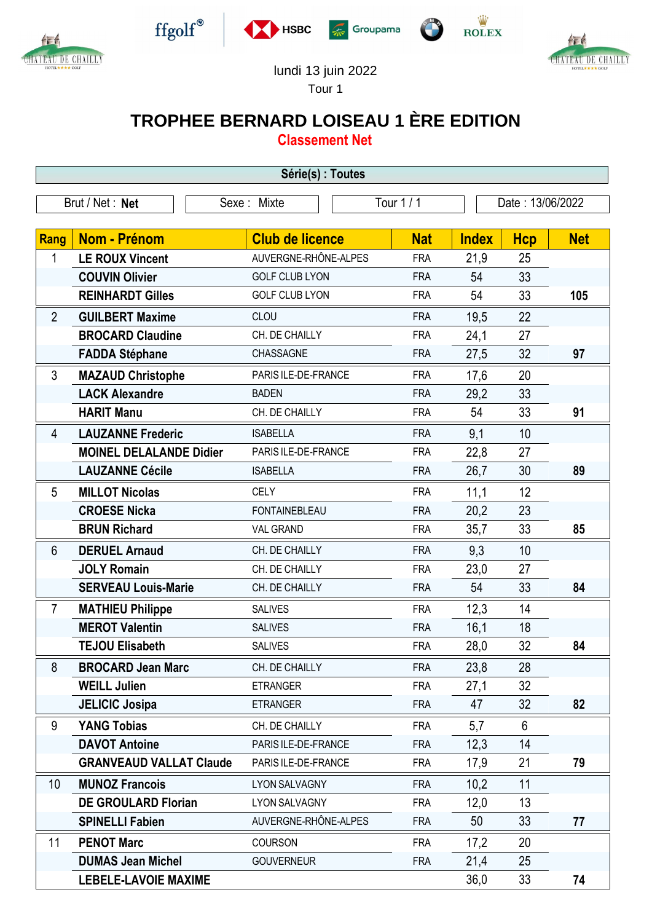



 $\operatorname{ffgolf}^{\circledast}$ 







## lundi 13 juin 2022

Tour 1

## **TROPHEE BERNARD LOISEAU 1 ÈRE EDITION**

**Classement Net**

| Série(s) : Toutes |                                |                        |            |                  |            |            |  |  |  |  |
|-------------------|--------------------------------|------------------------|------------|------------------|------------|------------|--|--|--|--|
| Brut / Net: Net   |                                | Sexe: Mixte            | Tour 1 / 1 | Date: 13/06/2022 |            |            |  |  |  |  |
|                   |                                |                        |            |                  |            |            |  |  |  |  |
| Rang              | <b>Nom - Prénom</b>            | <b>Club de licence</b> | <b>Nat</b> | <b>Index</b>     | <b>Hcp</b> | <b>Net</b> |  |  |  |  |
| 1                 | <b>LE ROUX Vincent</b>         | AUVERGNE-RHÔNE-ALPES   | <b>FRA</b> | 21,9             | 25         |            |  |  |  |  |
|                   | <b>COUVIN Olivier</b>          | <b>GOLF CLUB LYON</b>  | <b>FRA</b> | 54               | 33         |            |  |  |  |  |
|                   | <b>REINHARDT Gilles</b>        | <b>GOLF CLUB LYON</b>  | <b>FRA</b> | 54               | 33         | 105        |  |  |  |  |
| $\overline{2}$    | <b>GUILBERT Maxime</b>         | CLOU                   | <b>FRA</b> | 19,5             | 22         |            |  |  |  |  |
|                   | <b>BROCARD Claudine</b>        | CH. DE CHAILLY         | <b>FRA</b> | 24,1             | 27         |            |  |  |  |  |
|                   | <b>FADDA Stéphane</b>          | CHASSAGNE              | <b>FRA</b> | 27,5             | 32         | 97         |  |  |  |  |
| 3                 | <b>MAZAUD Christophe</b>       | PARIS ILE-DE-FRANCE    | <b>FRA</b> | 17,6             | 20         |            |  |  |  |  |
|                   | <b>LACK Alexandre</b>          | <b>BADEN</b>           | <b>FRA</b> | 29,2             | 33         |            |  |  |  |  |
|                   | <b>HARIT Manu</b>              | CH. DE CHAILLY         | <b>FRA</b> | 54               | 33         | 91         |  |  |  |  |
| 4                 | <b>LAUZANNE Frederic</b>       | <b>ISABELLA</b>        | <b>FRA</b> | 9,1              | 10         |            |  |  |  |  |
|                   | <b>MOINEL DELALANDE Didier</b> | PARIS ILE-DE-FRANCE    | <b>FRA</b> | 22,8             | 27         |            |  |  |  |  |
|                   | <b>LAUZANNE Cécile</b>         | <b>ISABELLA</b>        | <b>FRA</b> | 26,7             | 30         | 89         |  |  |  |  |
| 5                 | <b>MILLOT Nicolas</b>          | <b>CELY</b>            | <b>FRA</b> | 11,1             | 12         |            |  |  |  |  |
|                   | <b>CROESE Nicka</b>            | <b>FONTAINEBLEAU</b>   | <b>FRA</b> | 20,2             | 23         |            |  |  |  |  |
|                   | <b>BRUN Richard</b>            | <b>VAL GRAND</b>       | <b>FRA</b> | 35,7             | 33         | 85         |  |  |  |  |
| 6                 | <b>DERUEL Arnaud</b>           | CH. DE CHAILLY         | <b>FRA</b> | 9,3              | 10         |            |  |  |  |  |
|                   | <b>JOLY Romain</b>             | CH. DE CHAILLY         | <b>FRA</b> | 23,0             | 27         |            |  |  |  |  |
|                   | <b>SERVEAU Louis-Marie</b>     | CH. DE CHAILLY         | <b>FRA</b> | 54               | 33         | 84         |  |  |  |  |
| $\overline{7}$    | <b>MATHIEU Philippe</b>        | <b>SALIVES</b>         | <b>FRA</b> | 12,3             | 14         |            |  |  |  |  |
|                   | <b>MEROT Valentin</b>          | <b>SALIVES</b>         | <b>FRA</b> | 16,1             | 18         |            |  |  |  |  |
|                   | <b>TEJOU Elisabeth</b>         | <b>SALIVES</b>         | <b>FRA</b> | 28,0             | 32         | 84         |  |  |  |  |
| 8                 | <b>BROCARD Jean Marc</b>       | CH. DE CHAILLY         | <b>FRA</b> | 23,8             | 28         |            |  |  |  |  |
|                   | <b>WEILL Julien</b>            | <b>ETRANGER</b>        | <b>FRA</b> | 27,1             | 32         |            |  |  |  |  |
|                   | <b>JELICIC Josipa</b>          | <b>ETRANGER</b>        | <b>FRA</b> | 47               | 32         | 82         |  |  |  |  |
| 9                 | <b>YANG Tobias</b>             | CH. DE CHAILLY         | <b>FRA</b> | 5,7              | 6          |            |  |  |  |  |
|                   | <b>DAVOT Antoine</b>           | PARIS ILE-DE-FRANCE    | <b>FRA</b> | 12,3             | 14         |            |  |  |  |  |
|                   | <b>GRANVEAUD VALLAT Claude</b> | PARIS ILE-DE-FRANCE    | <b>FRA</b> | 17,9             | 21         | 79         |  |  |  |  |
| 10 <sup>°</sup>   | <b>MUNOZ Francois</b>          | <b>LYON SALVAGNY</b>   | <b>FRA</b> | 10,2             | 11         |            |  |  |  |  |
|                   | <b>DE GROULARD Florian</b>     | LYON SALVAGNY          | <b>FRA</b> | 12,0             | 13         |            |  |  |  |  |
|                   | <b>SPINELLI Fabien</b>         | AUVERGNE-RHÔNE-ALPES   | <b>FRA</b> | 50               | 33         | 77         |  |  |  |  |
| 11                | <b>PENOT Marc</b>              | <b>COURSON</b>         | <b>FRA</b> | 17,2             | 20         |            |  |  |  |  |
|                   | <b>DUMAS Jean Michel</b>       | <b>GOUVERNEUR</b>      | <b>FRA</b> | 21,4             | 25         |            |  |  |  |  |
|                   | <b>LEBELE-LAVOIE MAXIME</b>    |                        |            | 36,0             | 33         | 74         |  |  |  |  |